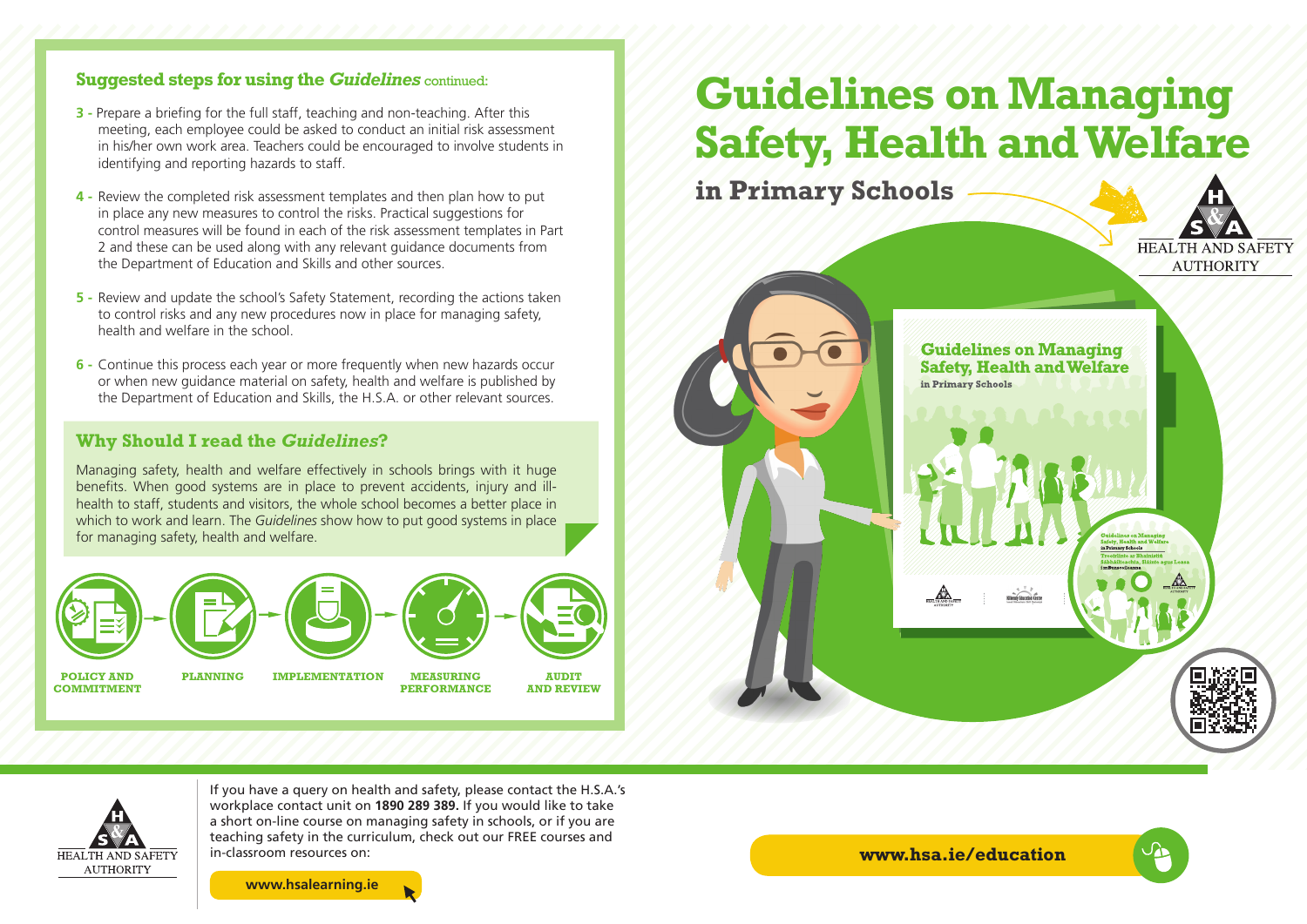#### **Suggested steps for using the** *Guidelines* continued:

- **3** Prepare a briefing for the full staff, teaching and non-teaching. After this meeting, each employee could be asked to conduct an initial risk assessment in his/her own work area. Teachers could be encouraged to involve students in identifying and reporting hazards to staff.
- **4 -** Review the completed risk assessment templates and then plan how to put in place any new measures to control the risks. Practical suggestions for control measures will be found in each of the risk assessment templates in Part 2 and these can be used along with any relevant guidance documents from the Department of Education and Skills and other sources.
- **5 -** Review and update the school's Safety Statement, recording the actions taken to control risks and any new procedures now in place for managing safety, health and welfare in the school.
- **6 -** Continue this process each year or more frequently when new hazards occur or when new guidance material on safety, health and welfare is published by the Department of Education and Skills, the H.S.A. or other relevant sources.

#### **Why Should I read the** *Guidelines***?**

Managing safety, health and welfare effectively in schools brings with it huge benefits. When good systems are in place to prevent accidents, injury and illhealth to staff, students and visitors, the whole school becomes a better place in which to work and learn. The *Guidelines* show how to put good systems in place for managing safety, health and welfare.



# **Guidelines on Managing Safety, Health and Welfare**

**in Primary Schools**



**Guidelines on Managing Safety, Health and Welfare** in Primary Schools



If you have a query on health and safety, please contact the H.S.A.'s workplace contact unit on **1890 289 389.** If you would like to take a short on-line course on managing safety in schools, or if you are teaching safety in the curriculum, check out our FREE courses and in-classroom resources on:

**www.hsalearning.ie**